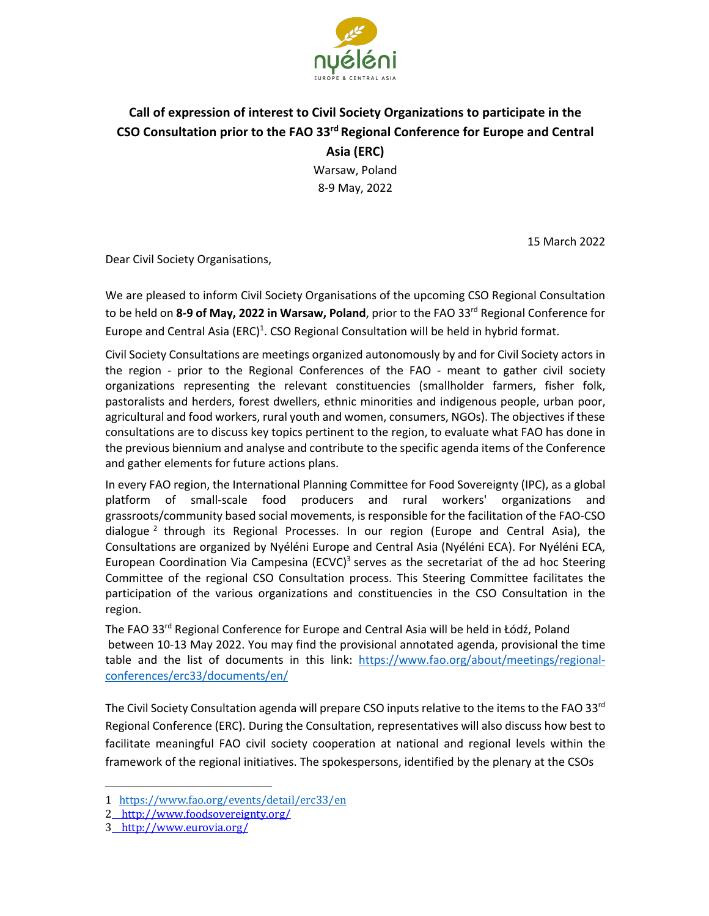

## **Call of expression of interest to Civil Society Organizations to participate in the CSO Consultation prior to the FAO 33rd Regional Conference for Europe and Central Asia (ERC)**

Warsaw, Poland 8-9 May, 2022

15 March 2022

Dear Civil Society Organisations,

We are pleased to inform Civil Society Organisations of the upcoming CSO Regional Consultation to be held on **8-9 of May, 2022 in Warsaw, Poland**, prior to the FAO 33rd Regional Conference for Europe and Central Asia (ERC)<sup>1</sup>. CSO Regional Consultation will be held in hybrid format.

Civil Society Consultations are meetings organized autonomously by and for Civil Society actors in the region - prior to the Regional Conferences of the FAO - meant to gather civil society organizations representing the relevant constituencies (smallholder farmers, fisher folk, pastoralists and herders, forest dwellers, ethnic minorities and indigenous people, urban poor, agricultural and food workers, rural youth and women, consumers, NGOs). The objectives if these consultations are to discuss key topics pertinent to the region, to evaluate what FAO has done in the previous biennium and analyse and contribute to the specific agenda items of the Conference and gather elements for future actions plans.

In every FAO region, the International Planning Committee for Food Sovereignty (IPC), as a global platform of small-scale food producers and rural workers' organizations and grassroots/community based social movements, is responsible for the facilitation of the FAO-CSO dialogue  $^2$  through its Regional Processes. In our region (Europe and Central Asia), the Consultations are organized by Nyéléni Europe and Central Asia (Nyéléni ECA). For Nyéléni ECA, European Coordination Via Campesina (ECVC)<sup>3</sup> serves as the secretariat of the ad hoc Steering Committee of the regional CSO Consultation process. This Steering Committee facilitates the participation of the various organizations and constituencies in the CSO Consultation in the region.

The FAO 33rd Regional Conference for Europe and Central Asia will be held in Łódź, Poland between 10-13 May 2022. You may find the provisional annotated agenda, provisional the time table and the list of documents in this link: https://www.fao.org/about/meetings/regionalconferences/erc33/documents/en/

The Civil Society Consultation agenda will prepare CSO inputs relative to the items to the FAO 33<sup>rd</sup> Regional Conference (ERC). During the Consultation, representatives will also discuss how best to facilitate meaningful FAO civil society cooperation at national and regional levels within the framework of the regional initiatives. The spokespersons, identified by the plenary at the CSOs

<sup>1</sup>  https://www.fao.org/events/detail/erc33/en

<sup>2</sup> http://www.foodsovereignty.org/

<sup>3</sup> http://www.eurovia.org/